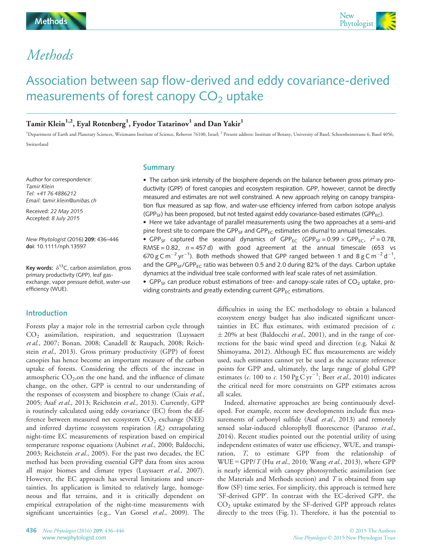# Methods

# Association between sap flow-derived and eddy covariance-derived measurements of forest canopy  $CO<sub>2</sub>$  uptake

# Tamir Klein $^{1,2}$ , Eyal Rotenberg $^{1}$ , Fyodor Tatarinov $^{1}$  and Dan Yakir $^{1}$

<sup>1</sup>Department of Earth and Planetary Sciences, Weizmann Institute of Science, Rehovot 76100, Israel; <sup>2</sup> Present address: Institute of Botany, University of Basel, Schoenbeinstrasse 6, Basel 4056, Switzerland

Author for correspondence: **Tamir Klein** Tel: +41 76 4886212 Email: tamir.klein@unibas.ch

Received: 22 May 2015 Received: 22 May 2015<br>Accented: 8 July 2015 Accepted: 8 July 2015

New Phytologist (2016) 209: 436–446 doi: 10.1111/nph.13597

Key words:  $\delta^{13}$ C, carbon assimilation, gross primary productivity (GPP), leaf gasexchange, vapor pressure deficit, water-use efficiency (WUE).

# Introduction

Forests play a major role in the terrestrial carbon cycle through CO2 assimilation, respiration, and sequestration (Luyssaert et al., 2007; Bonan, 2008; Canadell & Raupach, 2008; Reichstein et al., 2013). Gross primary productivity (GPP) of forest canopies has hence become an important measure of the carbon uptake of forests. Considering the effects of the increase in atmospheric  $CO_2$ , on the one hand, and the influence of climate change, on the other, GPP is central to our understanding of the responses of ecosystem and biosphere to change (Ciais et al., 2005; Asaf et al., 2013; Reichstein et al., 2013). Currently, GPP is routinely calculated using eddy covariance (EC) from the difference between measured net ecosystem  $CO<sub>2</sub>$  exchange (NEE) and inferred daytime ecosystem respiration  $(R_e)$  extrapolating night-time EC measurements of respiration based on empirical temperature response equations (Aubinet et al., 2000; Baldocchi, 2003; Reichstein et al., 2005). For the past two decades, the EC method has been providing essential GPP data from sites across all major biomes and climate types (Luyssaert et al., 2007). However, the EC approach has several limitations and uncertainties. Its application is limited to relatively large, homogeneous and flat terrains, and it is critically dependent on empirical extrapolation of the night-time measurements with significant uncertainties (e.g., Van Gorsel et al., 2009). The

## **Summary**

 The carbon sink intensity of the biosphere depends on the balance between gross primary productivity (GPP) of forest canopies and ecosystem respiration. GPP, however, cannot be directly measured and estimates are not well constrained. A new approach relying on canopy transpiration flux measured as sap flow, and water-use efficiency inferred from carbon isotope analysis (GPP<sub>SF</sub>) has been proposed, but not tested against eddy covariance-based estimates (GPP<sub>FC</sub>).

 Here we take advantage of parallel measurements using the two approaches at a semi-arid pine forest site to compare the GPP<sub>SF</sub> and GPP<sub>EC</sub> estimates on diurnal to annual timescales. •  $GPP_{SF}$  captured the seasonal dynamics of  $GPP_{EC}$  ( $GPP_{SF} = 0.99 \times GPP_{EC}$ ,  $r^2 = 0.78$ ,  $P_{BCS} = 0.92$ ,  $r = 457$  d), with good agreement at the annual timescale (653, ye RMSE =  $0.82$ ,  $n = 457$  d) with good agreement at the annual timescale (653 vs 670 g C m<sup>-2</sup> yr<sup>-1</sup>). Both methods showed that GPP ranged between 1 and 8 g C m<sup>-2</sup> d<sup>-1</sup>,

dynamics at the individual tree scale conformed with leaf scale rates of net assimilation. • GPP<sub>SF</sub> can produce robust estimations of tree- and canopy-scale rates of  $CO<sub>2</sub>$  uptake, providing constraints and greatly extending current  $GPP_{EC}$  estimations.

and the GPP<sub>SF</sub>/GPP<sub>FC</sub> ratio was between 0.5 and 2.0 during 82% of the days. Carbon uptake

difficulties in using the EC methodology to obtain a balanced ecosystem energy budget has also indicated significant uncertainties in EC flux estimates, with estimated precision of c.  $\pm$  20% at best (Baldocchi *et al.*, 2001), and in the range of corrections for the basic wind speed and direction (e.g. Nakai & Shimoyama, 2012). Although EC flux measurements are widely used, such estimates cannot yet be used as the accurate reference points for GPP and, ultimately, the large range of global GPP estimates (*c.* 100 to *c.* 150  $\log \text{C yr}^{-1}$ ; Beer *et al.*, 2010) indicates the critical need for more constraints on GPP estimates across all scales.

Indeed, alternative approaches are being continuously developed. For example, recent new developments include flux measurements of carbonyl sulfide (Asaf et al., 2013) and remotely sensed solar-induced chlorophyll fluorescence (Parazoo et al., 2014). Recent studies pointed out the potential utility of using independent estimates of water use efficiency, WUE, and transpiration, T, to estimate GPP from the relationship of  $WUE = GPP/T$  (Hu et al., 2010; Wang et al., 2013), where GPP is nearly identical with canopy photosynthetic assimilation (see the Materials and Methods section) and  $T$  is obtained from sap flow (SF) time series. For simplicity, this approach is termed here 'SF-derived GPP'. In contrast with the EC-derived GPP, the CO2 uptake estimated by the SF-derived GPP approach relates directly to the trees (Fig. 1). Therefore, it has the potential to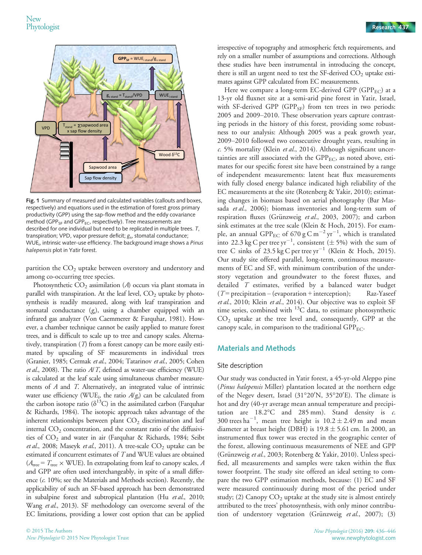

Fig. 1 Summary of measured and calculated variables (callouts and boxes, respectively) and equations used in the estimation of forest gross primary productivity (GPP) using the sap-flow method and the eddy covariance method (GPP<sub>SF</sub> and GPP<sub>EC</sub>, respectively). Tree measurements are described for one individual but need to be replicated in multiple trees. T, transpiration; VPD, vapor pressure deficit;  $g<sub>5</sub>$ , stomatal conductance; WUE<sub>i</sub>, intrinsic water-use efficiency. The background image shows a Pi*nus*<br>halenensis plot in Yatir forest halepensis plot in Yatir forest.

partition the  $CO<sub>2</sub>$  uptake between overstory and understory and among co-occurring tree species.

Photosynthetic  $CO<sub>2</sub>$  assimilation (A) occurs via plant stomata in parallel with transpiration. At the leaf level,  $CO<sub>2</sub>$  uptake by photosynthesis is readily measured, along with leaf transpiration and stomatal conductance  $(g_s)$ , using a chamber equipped with an infrared gas analyzer (Von Caemmerer & Farquhar, 1981). However, a chamber technique cannot be easily applied to mature forest trees, and is difficult to scale up to tree and canopy scales. Alternatively, transpiration (T) from a forest canopy can be more easily estimated by upscaling of SF measurements in individual trees (Granier, 1985; Cermak et al., 2004; Tatarinov et al., 2005; Cohen et al., 2008). The ratio  $A/T$ , defined as water-use efficiency (WUE) is calculated at the leaf scale using simultaneous chamber measurements of A and T. Alternatively, an integrated value of intrinsic water use efficiency (WUE<sub>i</sub>, the ratio  $A/g$ ) can be calculated from the carbon isotope ratio ( $\delta^{13}$ C) in the assimilated carbon (Farquhar & Richards, 1984). The isotopic approach takes advantage of the inherent relationships between plant  $CO<sub>2</sub>$  discrimination and leaf internal  $CO<sub>2</sub>$  concentration, and the constant ratio of the diffusivities of  $CO<sub>2</sub>$  and water in air (Farquhar & Richards, 1984; Seibt et al., 2008; Maseyk et al., 2011). A tree-scale  $CO<sub>2</sub>$  uptake can be estimated if concurrent estimates of T and WUE values are obtained  $(A_{\text{tree}} = T_{\text{tree}} \times \text{WUE})$ . In extrapolating from leaf to canopy scales, A and GPP are often used interchangeably, in spite of a small difference (c. 10%; see the Materials and Methods section). Recently, the applicability of such an SF-based approach has been demonstrated in subalpine forest and subtropical plantation (Hu et al., 2010; Wang et al., 2013). SF methodology can overcome several of the EC limitations, providing a lower cost option that can be applied

irrespective of topography and atmospheric fetch requirements, and rely on a smaller number of assumptions and corrections. Although these studies have been instrumental in introducing the concept, there is still an urgent need to test the SF-derived  $CO<sub>2</sub>$  uptake estimates against GPP calculated from EC measurements.

Here we compare a long-term EC-derived GPP (GPP<sub>EC</sub>) at a 13-yr old fluxnet site at a semi-arid pine forest in Yatir, Israel, with SF-derived GPP (GPP<sub>SF</sub>) from ten trees in two periods: 2005 and 2009–2010. These observation years capture contrasting periods in the history of this forest, providing some robustness to our analysis: Although 2005 was a peak growth year, 2009–2010 followed two consecutive drought years, resulting in  $c. 5%$  mortality (Klein et al., 2014). Although significant uncertainties are still associated with the  $GPP_{EC}$ , as noted above, estimates for our specific forest site have been constrained by a range of independent measurements: latent heat flux measurements with fully closed energy balance indicated high reliability of the EC measurements at the site (Rotenberg & Yakir, 2010); estimating changes in biomass based on aerial photography (Bar Massada et al., 2006); biomass inventories and long-term sum of respiration fluxes (Grünzweig et al., 2003, 2007); and carbon sink estimates at the tree scale (Klein & Hoch, 2015). For example, an annual GPP<sub>EC</sub> of 670 g C  $\mathrm{m}^{-2}\,\mathrm{yr}^{-1}$ , which is translated into 22.3 kg C per tree  $yr^{-1}$ , consistent ( $\pm$  5%) with the sum of tree C sinks of 23.5 kg C per tree  $yr^{-1}$  (Klein & Hoch 2015) tree C sinks of 23.5 kg C per tree  $yr^{-1}$  (Klein & Hoch, 2015). Our study site offered parallel, long-term, continuous measurements of EC and SF, with minimum contribution of the understory vegetation and groundwater to the forest fluxes, and detailed T estimates, verified by a balanced water budget  $(T = \text{precipitation} - (\text{evaporation} + \text{interception});$  Raz-Yaseef et al., 2010; Klein et al., 2014). Our objective was to exploit SF time series, combined with <sup>13</sup>C data, to estimate photosynthetic  $CO<sub>2</sub>$  uptake at the tree level and, consequently, GPP at the canopy scale, in comparison to the traditional  $\text{GPP}_{\text{EC}}$ .

# Materials and Methods

#### Site description

Our study was conducted in Yatir forest, a 45-yr-old Aleppo pine (Pinus halepensis Miller) plantation located at the northern edge of the Negev desert, Israel (31°20'N, 35°20'E). The climate is hot and dry (40-yr average mean annual temperature and precipitation are 18.2°C and 285 mm). Stand density is c. 300 trees ha<sup>-1</sup>, mean tree height is  $10.2 \pm 2.49$  m and mean<br>diameter at breast height (DBH) is  $19.8 \pm 5.61$  cm Jn 2000, an diameter at breast height (DBH) is  $19.8 \pm 5.61$  cm. In 2000, an instrumented flux tower was erected in the geographic center of the forest, allowing continuous measurements of NEE and GPP (Grünzweig et al., 2003; Rotenberg & Yakir, 2010). Unless specified, all measurements and samples were taken within the flux tower footprint. The study site offered an ideal setting to compare the two GPP estimation methods, because: (1) EC and SF were measured continuously during most of the period under study; (2) Canopy  $CO<sub>2</sub>$  uptake at the study site is almost entirely attributed to the trees' photosynthesis, with only minor contribution of understory vegetation (Grünzweig et al., 2007); (3)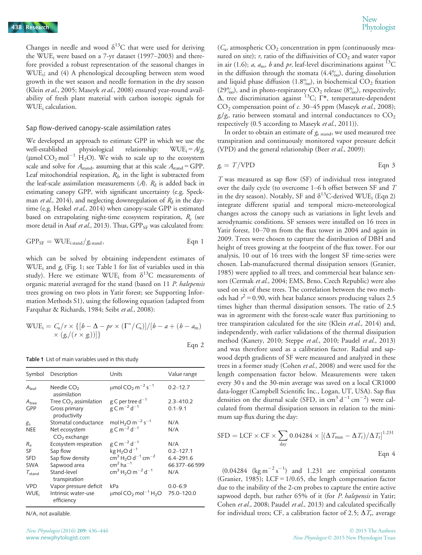Changes in needle and wood  $\delta^{13}$ C that were used for deriving the WUE<sub>i</sub> were based on a 7-yr dataset  $(1997–2003)$  and therefore provided a robust representation of the seasonal changes in WUEi; and (4) A phenological decoupling between stem wood growth in the wet season and needle formation in the dry season (Klein et al., 2005; Maseyk et al., 2008) ensured year-round availability of fresh plant material with carbon isotopic signals for WUE<sub>i</sub> calculation.

#### Sap flow-derived canopy-scale assimilation rates

We developed an approach to estimate GPP in which we use the well-established physiological relationship:  $WUE_i = A/g_s$ ( $\mu$ mol CO<sub>2</sub> mol<sup>-1</sup> H<sub>2</sub>O). We wish to scale up to the ecosystem scale and solve for  $A_{\text{stand}}$ , assuming that at this scale  $A_{\text{stand}} = \text{GPP}$ . Leaf mitochondrial respiration,  $R_d$ , in the light is subtracted from the leaf-scale assimilation measurements  $(A)$ .  $R_d$  is added back in estimating canopy GPP, with significant uncertainty (e.g. Speckman *et al.*, 2014), and neglecting downregulation of  $R_d$  in the daytime (e.g. Heskel et al., 2014) when canopy-scale GPP is estimated based on extrapolating night-time ecosystem respiration,  $R_e$  (see more detail in Asaf et al., 2013). Thus, GPP<sub>SF</sub> was calculated from:

$$
GPP_{SF} = WUE_{i\,stand}/g_{s\,stand}, \qquad Eqn 1
$$

which can be solved by obtaining independent estimates of WUE<sub>i</sub> and  $g_s$  (Fig. 1; see Table 1 for list of variables used in this study). Here we estimate WUE; from  $\delta^{13}$ C measurements of organic material averaged for the stand (based on 11 P. halepensis trees growing on two plots in Yatir forest; see Supporting Information Methods S1), using the following equation (adapted from Farquhar & Richards, 1984; Seibt et al., 2008):

$$
WUE_i = C_a/r \times \{ [b - \Delta - pr \times (\Gamma^*/C_a)] / [b - a + (b - a_m)
$$
  
 
$$
\times (g_s/(r \times g_i)) ] \}
$$
  
Eqn 2

Table 1 List of main variables used in this study

| Symbol                | Description                       | Units                                                        | Value range   |
|-----------------------|-----------------------------------|--------------------------------------------------------------|---------------|
| $A_{\text{leaf}}$     | Needle $CO2$<br>assimilation      | $\mu$ mol CO <sub>2</sub> m <sup>-2</sup> s <sup>-1</sup>    | $0.2 - 12.7$  |
| $A_{tree}$            | Tree $CO2$ assimilation           | g C per tree $d^{-1}$                                        | $2.3 - 410.2$ |
| <b>GPP</b>            | Gross primary<br>productivity     | $g \text{C m}^{-2} d^{-1}$                                   | $0.1 - 9.1$   |
| g                     | Stomatal conductance              | mol H <sub>2</sub> O m <sup>-2</sup> s <sup>-1</sup>         | N/A           |
| <b>NEE</b>            | Net ecosystem<br>$CO2$ exchange   | $g \text{C m}^{-2} d^{-1}$                                   | N/A           |
| $R_{\rm e}$           | Ecosystem respiration             | $g \text{C m}^{-2} d^{-1}$                                   | N/A           |
| SF                    | Sap flow                          | $kgH2O d-1$                                                  | $0.2 - 127.1$ |
| <b>SFD</b>            | Sap flow density                  | $\rm cm^3 H_2O\,d^{-1}\,cm^{-2}$                             | $6.4 - 291.6$ |
| <b>SWA</b>            | Sapwood area                      | $cm2$ ha <sup>-1</sup>                                       | 66377-66599   |
| $\tau_{\text{stand}}$ | Stand-level<br>transpiration      | $cm3 H2O m-2 d-1$                                            | N/A           |
| <b>VPD</b>            | Vapor pressure deficit            | kPa                                                          | $0.0 - 6.9$   |
| WUE:                  | Intrinsic water-use<br>efficiency | $\mu$ mol CO <sub>2</sub> mol <sup>-1</sup> H <sub>2</sub> O | 75.0-120.0    |

N/A, not available.

 $(C_{\alpha}$ , atmospheric  $CO_2$  concentration in ppm (continuously measured on site);  $r$ , ratio of the diffusivities of  $CO<sub>2</sub>$  and water vapor in air (1.6); *a*,  $a_m$ , *b* and *pr*, leaf-level discriminations against <sup>13</sup>C in the diffusion through the stomata  $(4.4\%)$ , during dissolution and liquid phase diffusion (1.8%), in biochemical  $CO<sub>2</sub>$  fixation  $(29\%)$ , and in photo-respiratory  $CO<sub>2</sub>$  release  $(8\%)$ , respectively;  $Δ$ , tree discrimination against <sup>13</sup>C; Γ<sup>\*</sup>, temperature-dependent  $CO<sub>2</sub>$  compensation point of c. 30–45 ppm (Maseyk et al., 2008);  $g_s/g_i$ , ratio between stomatal and internal conductances to  $CO_2$ respectively (0.5 according to Maseyk et al., 2011)).

In order to obtain an estimate of  $g_{s \text{ stand}}$ , we used measured tree transpiration and continuously monitored vapor pressure deficit (VPD) and the general relationship (Beer et al., 2009):

$$
g_s = T/VPD \qquad \qquad \text{Eqn 3}
$$

T was measured as sap flow (SF) of individual tress integrated over the daily cycle (to overcome 1–6 h offset between SF and T in the dry season). Notably, SF and  $\delta^{13}$ C-derived WUE<sub>i</sub> (Eqn 2) integrate different spatial and temporal micro-meteorological changes across the canopy such as variations in light levels and aerodynamic conditions. SF sensors were installed on 16 trees in Yatir forest, 10–70 m from the flux tower in 2004 and again in 2009. Trees were chosen to capture the distribution of DBH and height of trees growing at the footprint of the flux tower. For our analysis, 10 out of 16 trees with the longest SF time-series were chosen. Lab-manufactured thermal dissipation sensors (Granier, 1985) were applied to all trees, and commercial heat balance sensors (Cermak et al., 2004; EMS, Brno, Czech Republic) were also used on six of these trees. The correlation between the two methods had  $r^2$  = 0.90, with heat balance sensors producing values 2.5 times higher than thermal dissipation sensors. The ratio of 2.5 was in agreement with the forest-scale water flux partitioning to tree transpiration calculated for the site (Klein et al., 2014) and, independently, with earlier validations of the thermal dissipation method (Kanety, 2010; Steppe et al., 2010; Paudel et al., 2013) and was therefore used as a calibration factor. Radial and sapwood depth gradients of SF were measured and analyzed in these trees in a former study (Cohen et al., 2008) and were used for the length compensation factor below. Measurements were taken every 30 s and the 30-min average was saved on a local CR1000 data-logger (Campbell Scientific Inc., Logan, UT, USA). Sap flux densities on the diurnal scale (SFD, in  $\text{cm}^3 \text{ d}^{-1} \text{ cm}^{-2}$ ) were calculated from thermal dissipation sensors in relation to the minimum sap flux during the day:

$$
SFD = LCF \times CF \times \sum_{day} 0.04284 \times [(\Delta T_{max} - \Delta T_{r})/\Delta T_{r}]^{1.231}
$$
  
Eqn 4

 $(0.04284 \text{ (kg m}^{-2} \text{ s}^{-1})$  and 1.231 are empirical constants (Granier, 1985); LCF =  $1/0.65$ , the length compensation factor due to the inability of the 2-cm probes to capture the entire active sapwood depth, but rather 65% of it (for P. halepensis in Yatir; Cohen et al., 2008; Paudel et al., 2013) and calculated specifically for individual trees; CF, a calibration factor of 2.5;  $\Delta T_r$ , average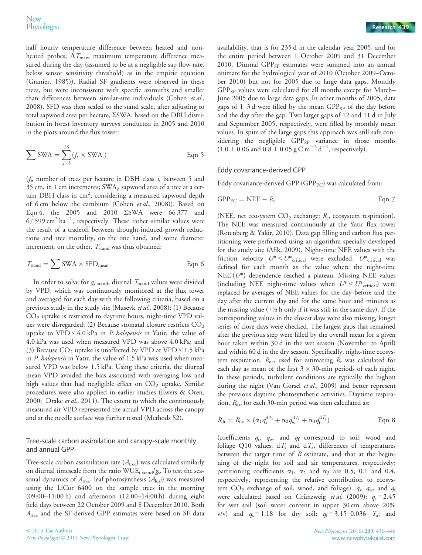half hourly temperature difference between heated and nonheated probes;  $\Delta T_{\text{max}}$ , maximum temperature difference measured during the day (assumed to be at a negligible sap flow rate, below sensor sensitivity threshold) as in the empiric equation (Granier, 1985)). Radial SF gradients were observed in these trees, but were inconsistent with specific azimuths and smaller than differences between similar-size individuals (Cohen et al., 2008). SFD was then scaled to the stand scale, after adjusting to total sapwood area per hectare, ΣSWA, based on the DBH distribution in forest inventory surveys conducted in 2005 and 2010 in the plots around the flux tower:

$$
\sum \text{SWA} = \sum_{i=5}^{35} (f_i \times \text{SWA}_i)
$$
Eqn 5

 $(f<sub>i</sub>)$  number of trees per hectare in DBH class i, between 5 and  $35$  cm, in 1 cm increments; SWA<sub>i</sub>, sapwood area of a tree at a certain DBH class in cm<sup>2</sup>, considering a measured sapwood depth of 6 cm below the cambium (Cohen et al., 2008)). Based on Eqn 4, the 2005 and 2010 ΣSWA were 66 377 and  $67$  599 cm<sup>2</sup> ha<sup>-1</sup>, respectively. These rather similar values were the result of a tradeoff between drought-induced growth reductions and tree mortality, on the one hand, and some diameter increment, on the other.  $T_{\text{stand}}$  was thus obtained:

$$
T_{\text{stand}} = \sum \text{SWA} \times \text{SFD}_{\text{mean}} \qquad \qquad \text{Eqn 6}
$$

In order to solve for  $g_{s \text{ stand}}$ , diurnal  $T_{\text{stand}}$  values were divided by VPD, which was continuously monitored at the flux tower and averaged for each day with the following criteria, based on a previous study in the study site (Maseyk et al., 2008): (1) Because  $CO<sub>2</sub>$  uptake is restricted to daytime hours, night-time VPD values were disregarded; (2) Because stomatal closure restricts  $CO<sub>2</sub>$ uptake to VPD < 4.0 kPa in *P. halepensis* in Yatir, the value of 4.0 kPa was used when measured VPD was above 4.0 kPa; and (3) Because  $CO<sub>2</sub>$  uptake is unaffected by VPD at VPD < 1.5 kPa in P. halepensis in Yatir, the value of 1.5 kPa was used when measured VPD was below 1.5 kPa. Using these criteria, the diurnal mean VPD avoided the bias associated with averaging low and high values that had negligible effect on  $CO<sub>2</sub>$  uptake. Similar procedures were also applied in earlier studies (Ewers & Oren, 2000; Drake et al., 2011). The extent to which the continuously measured air VPD represented the actual VPD across the canopy and at the needle surface was further tested (Methods S2).

# Tree-scale carbon assimilation and canopy-scale monthly and annual GPP

Tree-scale carbon assimilation rate  $(A_{\text{tree}})$  was calculated similarly on diurnal timescale from the ratio  $WUE_{i\ stand}/g_{s}$ . To test the seasonal dynamics of  $A_{\text{tree}}$ , leaf photosynthesis  $(A_{\text{leaf}})$  was measured using the LiCor 6400 on the sample trees in the morning (09:00–11:00 h) and afternoon (12:00–14:00 h) during eight field days between 22 October 2009 and 8 December 2010. Both  $A_{\text{tree}}$  and the SF-derived GPP estimates were based on SF data

availability, that is for 235 d in the calendar year 2005, and for the entire period between 1 October 2009 and 31 December 2010. Diurnal  $GPP_{SF}$  estimates were summed into an annual estimate for the hydrological year of 2010 (October 2009–October 2010) but not for 2005 due to large data gaps. Monthly  $GPP_{SF}$  values were calculated for all months except for March– June 2005 due to large data gaps. In other months of 2005, data gaps of 1–3 d were filled by the mean  $GPP_{SF}$  of the day before and the day after the gap. Two larger gaps of 12 and 11 d in July and September 2005, respectively, were filled by monthly mean values. In spite of the large gaps this approach was still safe considering the negligible  $GPP_{SF}$  variance in those months  $(1.0 \pm 0.06 \text{ and } 0.8 \pm 0.05 \text{ g C m}^{-2} \text{ d}^{-1}, \text{ respectively}).$ 

## Eddy covariance-derived GPP

Eddy covariance-derived GPP (GPP $_{EC}$ ) was calculated from:

$$
GPP_{EC} = NEE - R_e
$$
 Eqn 7

(NEE, net ecosystem  $CO<sub>2</sub>$  exchange;  $R<sub>e</sub>$ , ecosystem respiration). The NEE was measured continuously at the Yatir flux tower (Rotenberg & Yakir, 2010). Data gap filling and carbon flux partitioning were performed using an algorithm specially developed for the study site (Afik, 2009). Night-time NEE values with the friction velocity  $U^* < U^*$ <sub>critical</sub> were excluded.  $U^*$ <sub>critical</sub> was defined for each month as the value where the night-time NEE (U\*) dependence reached a plateau. Missing NEE values (including NEE night-time values when  $U^* < U^*$ <sub>critical</sub>) were replaced by averages of NEE values for the day before and the day after the current day and for the same hour and minutes as the missing value  $(+\frac{1}{2}h$  only if it was still in the same day). If the corresponding values in the closest days were also missing, longer series of close days were checked. The largest gaps that remained after the previous step were filled by the overall mean for a given hour taken within 30 d in the wet season (November to April) and within 60 d in the dry season. Specifically, night-time ecosystem respiration,  $R_{\text{ne}}$ , used for estimating  $R_{\text{e}}$  was calculated for each day as mean of the first  $3 \times 30$ -min periods of each night. In these periods, turbulent conditions are typically the highest during the night (Van Gorsel et al., 2009) and better represent the previous daytime photosynthetic activities. Daytime respiration,  $R_{\text{dt}}$ , for each 30-min period was then calculated as:

$$
R_{\rm dt}=R_{\rm ne}\times(\alpha_1q_s^{\rm d\,T_s}+\alpha_2q_w^{\rm d\,T_a}+\alpha_3q_f^{\rm d\,T_a})
$$
 \tEqn 8

(coefficients  $q_s$ ,  $q_w$ , and  $q_f$  correspond to soil, wood and foliage Q10 values;  $dT_s$  and  $dT_a$ , differences of temperatures between the target time of  $R$  estimate, and that at the beginning of the night for soil and air temperatures, respectively; partitioning coefficients  $\alpha_1$ ,  $\alpha_2$  and  $\alpha_3$  are 0.5, 0.1 and 0.4, respectively, representing the relative contribution to ecosystem  $CO_2$  exchange of soil, wood, and foliage).  $q_s$ ,  $q_w$ , and  $q_f$ were calculated based on Grünzweig *et al.* (2009):  $q_s = 2.45$ for wet soil (soil water content in upper 30 cm above 20% v/v) and  $q_s = 1.18$  for dry soil;  $q_f = 3.15 - 0.036$   $T_a$ ; and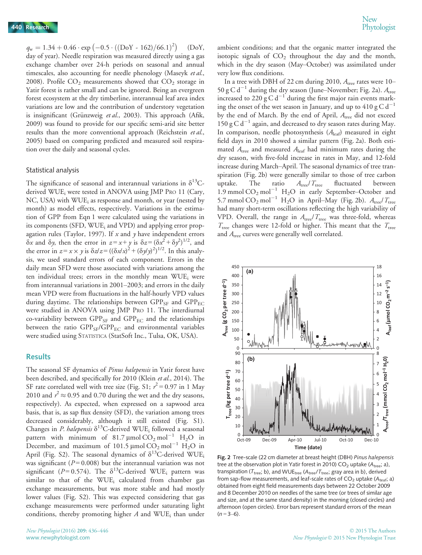$q_w = 1.34 + 0.46 \cdot \exp(-0.5 \cdot ((DoY - 162)/66.1)^2)$  (DoY, day of year). Needle respiration was measured directly using a gas exchange chamber over 24-h periods on seasonal and annual timescales, also accounting for needle phenology (Maseyk et al., 2008). Profile  $CO<sub>2</sub>$  measurements showed that  $CO<sub>2</sub>$  storage in Yatir forest is rather small and can be ignored. Being an evergreen forest ecosystem at the dry timberline, interannual leaf area index variations are low and the contribution of understory vegetation is insignificant (Grünzweig et al., 2003). This approach (Afik, 2009) was found to provide for our specific semi-arid site better results than the more conventional approach (Reichstein et al., 2005) based on comparing predicted and measured soil respiration over the daily and seasonal cycles.

#### Statistical analysis

The significance of seasonal and interannual variations in  $\delta^{13}C$ derived WUE; were tested in ANOVA using JMP PRO 11 (Cary, NC, USA) with WUE<sub>i</sub> as response and month, or year (nested by month) as model effects, respectively. Variations in the estimation of GPP from Eqn 1 were calculated using the variations in its components (SFD, WUE<sub>i</sub> and VPD) and applying error propagation rules (Taylor, 1997). If  $x$  and  $y$  have independent errors  $\delta x$  and  $\delta y$ , then the error in  $z = x + y$  is  $\delta z = (\delta x^2 + \delta y^2)^{1/2}$ , and the error in  $z = x \times y$  is  $\delta z/z = ((\delta x/x)^2 + (\delta y/y)^2)^{1/2}$ . In this analysis, we used standard errors of each component. Errors in the daily mean SFD were those associated with variations among the ten individual trees; errors in the monthly mean WUEi were from interannual variations in 2001–2003; and errors in the daily mean VPD were from fluctuations in the half-hourly VPD values during daytime. The relationships between  $GPP_{SF}$  and  $GPP_{EC}$ were studied in ANOVA using JMP PRO 11. The interdiurnal co-variability between  $GPP_{SF}$  and  $GPP_{EC}$  and the relationships between the ratio  $GPP_{SF}/GPP_{EC}$  and environmental variables were studied using STATISTICA (StatSoft Inc., Tulsa, OK, USA).

#### **Results**

The seasonal SF dynamics of *Pinus halepensis* in Yatir forest have been described, and specifically for 2010 (Klein et al., 2014). The SF rate correlated well with tree size (Fig. S1;  $r^2 = 0.97$  in 1 May 2010 and  $r^2 \approx 0.95$  and 0.70 during the wet and the dry seasons,<br>respectively). As expected, when expressed on a sapwood area respectively). As expected, when expressed on a sapwood area basis, that is, as sap flux density (SFD), the variation among trees decreased considerably, although it still existed (Fig. S1). Changes in P. halepensis  $\delta^{13}$ C-derived WUE<sub>i</sub> followed a seasonal pattern with minimum of 81.7  $\mu$ mol CO<sub>2</sub> mol<sup>-1</sup> H<sub>2</sub>O in December, and maximum of 101.5  $\mu$ mol CO<sub>2</sub> mol<sup>-1</sup> H<sub>2</sub>O in April (Fig. S2). The seasonal dynamics of  $\delta^{13}$ C-derived WUE<sub>i</sub> was significant ( $P = 0.008$ ) but the interannual variation was not significant ( $P = 0.574$ ). The  $\delta^{13}$ C-derived WUE<sub>i</sub> pattern was similar to that of the WUE<sub>i</sub> calculated from chamber gas exchange measurements, but was more stable and had mostly lower values (Fig. S2). This was expected considering that gas exchange measurements were performed under saturating light conditions, thereby promoting higher  $A$  and WUE<sub>i</sub> than under

ambient conditions; and that the organic matter integrated the isotopic signals of  $CO<sub>2</sub>$  throughout the day and the month, which in the dry season (May–October) was assimilated under very low flux conditions.

In a tree with DBH of 22 cm during 2010,  $A_{\text{tree}}$  rates were 10– 50 g C d<sup>-1</sup> during the dry season (June–November; Fig. 2a).  $A_{\text{tree}}$ increased to 220 g C  $d^{-1}$  during the first major rain events marking the onset of the wet season in January, and up to  $410 \text{ g C d}^{-1}$ by the end of March. By the end of April,  $A_{\text{tree}}$  did not exceed 150 g C  $d^{-1}$  again, and decreased to dry season rates during May. In comparison, needle photosynthesis  $(A<sub>leaf</sub>)$  measured in eight field days in 2010 showed a similar pattern (Fig. 2a). Both estimated  $A_{\text{tree}}$  and measured  $A_{\text{leaf}}$  had minimum rates during the dry season, with five-fold increase in rates in May, and 12-fold increase during March–April. The seasonal dynamics of tree transpiration (Fig. 2b) were generally similar to those of tree carbon uptake. The ratio  $A_{\text{tree}}/T_{\text{tree}}$  fluctuated between 1.9 mmol  $CO_2$  mol<sup>-1</sup> H<sub>2</sub>O in early September-October and 5.7 mmol  $CO_2$  mol<sup>-1</sup> H<sub>2</sub>O in April–May (Fig. 2b).  $A_{\text{tree}}/T_{\text{tree}}$ had many short-term oscillations reflecting the high variability of VPD. Overall, the range in  $A_{\text{tree}}/T_{\text{tree}}$  was three-fold, whereas  $T_{\text{tree}}$  changes were 12-fold or higher. This meant that the  $T_{\text{tree}}$ and  $A_{\text{tree}}$  curves were generally well correlated.



Fig. 2 Tree-scale (22 cm diameter at breast height (DBH) Pinus halepensis tree at the observation plot in Yatir forest in 2010)  $CO<sub>2</sub>$  uptake (A<sub>tree</sub>; a), transpiration ( $T_{\text{tree}}$ ; b), and WUE<sub>tree</sub> ( $A_{\text{tree}}/T_{\text{tree}}$ ; gray area in b), derived from sap-flow measurements, and leaf-scale rates of  $CO<sub>2</sub>$  uptake (A<sub>teaf</sub>; a) obtained from eight field measurements days between 22 October 2009 and 8 December 2010 on needles of the same tree (or trees of similar age and size, and at the same stand density) in the morning (closed circles) and afternoon (open circles). Error bars represent standard errors of the mean  $(n = 3-6)$ .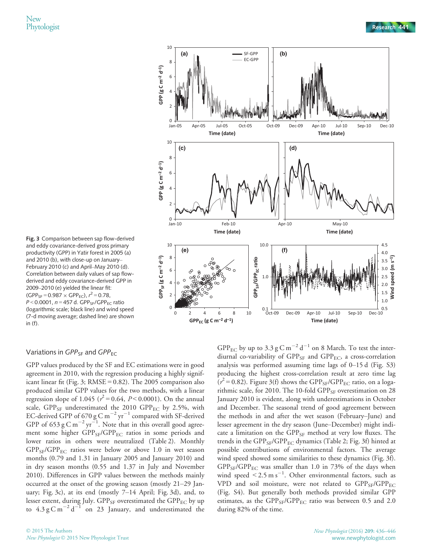

Fig. 3 Comparison between sap flow-derived and eddy covariance-derived gross primary productivity (GPP) in Yatir forest in 2005 (a) and 2010 (b), with close-up on January– February 2010 (c) and April–May 2010 (d). Correlation between daily values of sap flowderived and eddy covariance-derived GPP in 2009–2010 (e) yielded the linear fit:  $(GPP_{SF} = 0.987 \times GPP_{EC})$ ,  $r^2 = 0.78$ ,<br> $P < 0.0001$ ,  $p = 457$  d,  $GPP_{SC}/GPP_{CS}$  $P < 0.0001$ ,  $n = 457$  d. GPP<sub>SF</sub>/GPP<sub>EC</sub> ratio (logarithmic scale; black line) and wind speed (7-d moving average; dashed line) are shown in (f).

# Variations in  $GPP_{SE}$  and  $GPP_{EC}$

GPP values produced by the SF and EC estimations were in good agreement in 2010, with the regression producing a highly significant linear fit (Fig. 3;  $RMSE = 0.82$ ). The 2005 comparison also produced similar GPP values for the two methods, with a linear regression slope of 1.045 ( $r^2$  = 0.64, P< 0.0001). On the annual scale,  $GPP_{SF}$  underestimated the 2010  $GPP_{EC}$  by 2.5%, with EC-derived GPP of 670 g C m<sup>-2</sup> yr<sup>-1</sup> compared with SF-derived GPP of 653 g C m<sup>-2</sup> yr<sup>-1</sup>. Note that in this overall good agreement some higher GPP<sub>SF</sub>/GPP<sub>EC</sub> ratios in some periods and lower ratios in others were neutralized (Table 2). Monthly  $GPP_{SF}/GPP_{EC}$  ratios were below or above 1.0 in wet season months (0.79 and 1.31 in January 2005 and January 2010) and in dry season months (0.55 and 1.37 in July and November 2010). Differences in GPP values between the methods mainly occurred at the onset of the growing season (mostly 21–29 January; Fig. 3c), at its end (mostly 7–14 April; Fig. 3d), and, to lesser extent, during July.  $GPP_{SF}$  overestimated the  $GPP_{EC}$  by up to  $4.3 \text{ g C m}^{-2} \text{ d}^{-1}$  on 23 January, and underestimated the GPP<sub>EC</sub> by up to 3.3 g C m<sup>-2</sup> d<sup>-1</sup> on 8 March. To test the interdiurnal co-variability of  $GPP_{SF}$  and  $GPP_{EC}$ , a cross-correlation analysis was performed assuming time lags of 0–15 d (Fig. S3) producing the highest cross-correlation result at zero time lag  $(r^2 = 0.82)$ . Figure 3(f) shows the GPP<sub>SF</sub>/GPP<sub>EC</sub> ratio, on a logarithmic scale, for 2010. The 10-fold GPP<sub>SF</sub> overestimation on 28 January 2010 is evident, along with underestimations in October and December. The seasonal trend of good agreement between the methods in and after the wet season (February–June) and lesser agreement in the dry season (June–December) might indicate a limitation on the  $GPP_{SF}$  method at very low fluxes. The trends in the  $GPP_{SF}/GPP_{EC}$  dynamics (Table 2; Fig. 3f) hinted at possible contributions of environmental factors. The average wind speed showed some similarities to these dynamics (Fig. 3f).  $GPP_{SF}/GPP_{EC}$  was smaller than 1.0 in 73% of the days when wind speed  $\leq 2.5 \text{ m s}^{-1}$ . Other environmental factors, such as VPD and soil moisture, were not related to  $GPP_{SF}/GPP_{EC}$ (Fig. S4). But generally both methods provided similar GPP estimates, as the  $GPP_{SF}/GPP_{EC}$  ratio was between 0.5 and 2.0 during 82% of the time.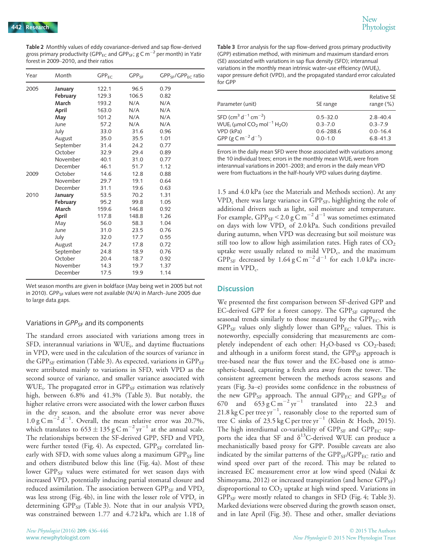Table 2 Monthly values of eddy covariance-derived and sap flow-derived gross primary productivity (GPP<sub>EC</sub> and GPP<sub>SE</sub>; g C m<sup>-2</sup> per month) in Yatir forest in 2009–2010, and their ratios

| Year | Month     | $GPP_{EC}$ | $GPP_{SF}$ | $GPP_{SE}/GPP_{EC}$ ratio |
|------|-----------|------------|------------|---------------------------|
| 2005 | January   | 122.1      | 96.5       | 0.79                      |
|      | February  | 129.3      | 106.5      | 0.82                      |
|      | March     | 193.2      | N/A        | N/A                       |
|      | April     | 163.0      | N/A        | N/A                       |
|      | May       | 101.2      | N/A        | N/A                       |
|      | June      | 57.2       | N/A        | N/A                       |
|      | July      | 33.0       | 31.6       | 0.96                      |
|      | August    | 35.0       | 35.5       | 1.01                      |
|      | September | 31.4       | 24.2       | 0.77                      |
|      | October   | 32.9       | 29.4       | 0.89                      |
|      | November  | 40.1       | 31.0       | 0.77                      |
|      | December  | 46.1       | 51.7       | 1.12                      |
| 2009 | October   | 14.6       | 12.8       | 0.88                      |
|      | November  | 29.7       | 19.1       | 0.64                      |
|      | December  | 31.1       | 19.6       | 0.63                      |
| 2010 | January   | 53.5       | 70.2       | 1.31                      |
|      | February  | 95.2       | 99.8       | 1.05                      |
|      | March     | 159.6      | 146.8      | 0.92                      |
|      | April     | 117.8      | 148.8      | 1.26                      |
|      | May       | 56.0       | 58.3       | 1.04                      |
|      | June      | 31.0       | 23.5       | 0.76                      |
|      | July      | 32.0       | 17.7       | 0.55                      |
|      | August    | 24.7       | 17.8       | 0.72                      |
|      | September | 24.8       | 18.9       | 0.76                      |
|      | October   | 20.4       | 18.7       | 0.92                      |
|      | November  | 14.3       | 19.7       | 1.37                      |
|      | December  | 17.5       | 19.9       | 1.14                      |

Wet season months are given in boldface (May being wet in 2005 but not in 2010). GPP<sub>SF</sub> values were not available (N/A) in March–June 2005 due to large data gaps.

#### Variations in  $GPP_{SF}$  and its components

The standard errors associated with variations among trees in SFD, interannual variations in WUE<sub>i</sub>, and daytime fluctuations in VPD, were used in the calculation of the sources of variance in the GPP<sub>SF</sub> estimation (Table 3). As expected, variations in GPP<sub>SF</sub> were attributed mainly to variations in SFD, with VPD as the second source of variance, and smaller variance associated with WUE<sub>i</sub>. The propagated error in GPP<sub>SF</sub> estimation was relatively high, between 6.8% and 41.3% (Table 3). But notably, the higher relative errors were associated with the lower carbon fluxes in the dry season, and the absolute error was never above  $1.0 \text{ g C m}^{-2} \text{ d}^{-1}$ . Overall, the mean relative error was 20.7%, which translates to  $653 \pm 135$  g C m<sup>-2</sup> yr<sup>-1</sup> at the annual scale. The relationships between the SF-derived GPP, SFD and  $VPD_c$ were further tested (Fig. 4). As expected,  $GPP_{SF}$  correlated linearly with SFD, with some values along a maximum  $GPP_{SF}$  line and others distributed below this line (Fig. 4a). Most of these lower GPP<sub>SF</sub> values were estimated for wet season days with increased VPD, potentially inducing partial stomatal closure and reduced assimilation. The association between  $GPP_{SF}$  and  $VPD_c$ was less strong (Fig. 4b), in line with the lesser role of  $VPD<sub>c</sub>$  in determining GPP<sub>SF</sub> (Table 3). Note that in our analysis  $VPD_c$ was constrained between 1.77 and 4.72 kPa, which are 1.18 of Table 3 Error analysis for the sap flow-derived gross primary productivity (GPP) estimation method, with minimum and maximum standard errors (SE) associated with variations in sap flux density (SFD); interannual variations in the monthly mean intrinsic water-use efficiency (WUE<sub>i</sub>), vapor pressure deficit (VPD), and the propagated standard error calculated for GPP

| Parameter (unit)                                                           | SE range      | Relative SE<br>range $(\%)$ |
|----------------------------------------------------------------------------|---------------|-----------------------------|
| SFD (cm <sup>3</sup> d <sup>-1</sup> cm <sup>-2</sup> )                    | $0.5 - 32.0$  | $2.8 - 40.4$                |
| WUE <sub>i</sub> (µmol CO <sub>2</sub> mol <sup>-1</sup> H <sub>2</sub> O) | $0.3 - 7.0$   | $0.3 - 7.9$                 |
| VPD (kPa)                                                                  | $0.6 - 288.6$ | $0.0 - 16.4$                |
| GPP (g C m <sup>-2</sup> d <sup>-1</sup> )                                 | $0.0 - 1.0$   | $6.8 - 41.3$                |

Errors in the daily mean SFD were those associated with variations among the 10 individual trees; errors in the monthly mean WUE $<sub>i</sub>$  were from</sub> interannual variations in 2001–2003; and errors in the daily mean VPD were from fluctuations in the half-hourly VPD values during daytime.

1.5 and 4.0 kPa (see the Materials and Methods section). At any  $VPD_c$  there was large variance in  $GPP_{SF}$ , highlighting the role of additional drivers such as light, soil moisture and temperature. For example, GPP<sub>SF</sub> < 2.0 g C m<sup>-2</sup> d<sup>-1</sup> was sometimes estimated on days with low  $VPD_c$  of 2.0 kPa. Such conditions prevailed during autumn, when VPD was decreasing but soil moisture was still too low to allow high assimilation rates. High rates of  $CO<sub>2</sub>$ uptake were usually related to mild  $VPD_c$ , and the maximum GPP<sub>SF</sub> decreased by 1.64 g C m<sup>-2</sup> d<sup>-1</sup> for each 1.0 kPa increment in  $VPD_c$ .

#### **Discussion**

We presented the first comparison between SF-derived GPP and EC-derived GPP for a forest canopy. The  $GPP_{SF}$  captured the seasonal trends similarly to those measured by the  $\text{GPP}_{\text{EC}}$ , with  $GPP_{SF}$  values only slightly lower than  $GPP_{EC}$  values. This is noteworthy, especially considering that measurements are completely independent of each other:  $H_2O$ -based vs  $CO_2$ -based; and although in a uniform forest stand, the  $GPP_{SF}$  approach is tree-based near the flux tower and the EC-based one is atmospheric-based, capturing a fetch area away from the tower. The consistent agreement between the methods across seasons and years (Fig. 3a–e) provides some confidence in the robustness of the new  ${\rm GPP}_{\rm SF}$  approach. The annual  ${\rm GPP}_{\rm EC}$  and  ${\rm GPP}_{\rm SF}$  of 670 and  $653 \text{ g} \text{C m}^{-2} \text{ yr}^{-1}$  translated into 22.3 and 21.8 kg C per tree  $yr^{-1}$ , reasonably close to the reported sum of tree C sinks of 23.5 kg C per tree  $yr^{-1}$  (Klein & Hoch, 2015). The high interdiurnal co-variability of  $GPP_{SF}$  and  $GPP_{EC}$  supports the idea that SF and  $\delta^{13}$ C-derived WUE can produce a mechanistically based proxy for GPP. Possible caveats are also indicated by the similar patterns of the  $GPP_{SF}/GPP_{EC}$  ratio and wind speed over part of the record. This may be related to increased EC measurement error at low wind speed (Nakai & Shimoyama, 2012) or increased transpiration (and hence  $GPP_{SF}$ ) disproportional to  $CO<sub>2</sub>$  uptake at high wind speed. Variations in  $GPP_{SF}$  were mostly related to changes in SFD (Fig. 4; Table 3). Marked deviations were observed during the growth season onset, and in late April (Fig. 3f). These and other, smaller deviations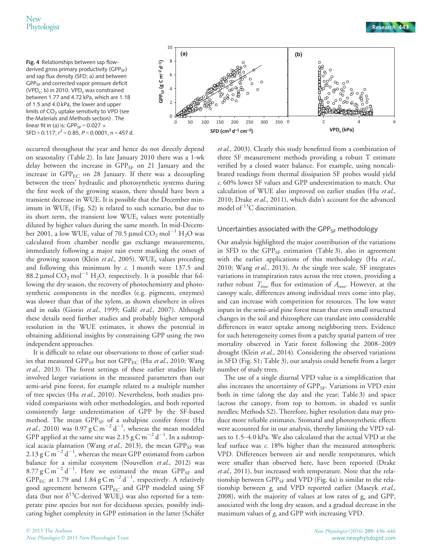

occurred throughout the year and hence do not directly depend on seasonality (Table 2). In late January 2010 there was a 1-wk delay between the increase in  $GPP_{SF}$  on 21 January and the increase in  $GPP_{EC}$  on 28 January. If there was a decoupling between the trees' hydraulic and photosynthetic systems during the first week of the growing season, there should have been a transient decrease in WUE. It is possible that the December minimum in  $WUE_i$  (Fig. S2) is related to such scenario, but due to its short term, the transient low WUE<sub>i</sub> values were potentially diluted by higher values during the same month. In mid-December 2001, a low WUE<sub>i</sub> value of 70.5 µmol  $CO_2$  mol<sup>-1</sup> H<sub>2</sub>O was calculated from chamber needle gas exchange measurements, immediately following a major rain event marking the onset of the growing season (Klein et al., 2005). WUE<sub>i</sub> values preceding and following this minimum by  $c$ . 1 month were 137.5 and 88.2 µmol  $CO_2$  mol<sup>-1</sup> H<sub>2</sub>O, respectively. It is possible that following the dry season, the recovery of photochemistry and photosynthetic components in the needles (e.g. pigments, enzymes) was slower than that of the xylem, as shown elsewhere in olives and in oaks (Giorio *et al*., 1999; Gallé *et al*., 2007). Although these details need further studies and probably higher temporal resolution in the WUE estimates, it shows the potential in obtaining additional insights by constraining GPP using the two independent approaches.

It is difficult to relate our observations to those of earlier studies that measured GPP<sub>SF</sub> but not GPP<sub>EC</sub> (Hu et al., 2010; Wang et al., 2013). The forest settings of these earlier studies likely involved larger variations in the measured parameters than our semi-arid pine forest, for example related to a multiple number of tree species (Hu et al., 2010). Nevertheless, both studies provided comparisons with other methodologies, and both reported consistently large underestimation of GPP by the SF-based method. The mean  $GPP_{SF}$  of a subalpine conifer forest (Hu *et al.*, 2010) was 0.97 g C m<sup>-2</sup> d<sup>-1</sup>, whereas the mean modeled GPP applied at the same site was 2.15  $\rm g \, C \, m^{-2} \, d^{-1}.$  In a subtropical acacia plantation (Wang et al., 2013), the mean  $GPP_{SF}$  was 2.13 g C m $^{-2}$  d $^{-1}$ , whereas the mean GPP estimated from carbon balance for a similar ecosystem (Nouvellon et al., 2012) was  $8.77 \text{ g C m}^{-2} \text{ d}^{-1}$ . Here we estimated the mean GPP<sub>SF</sub> and GPP<sub>EC</sub> at 1.79 and 1.84  $\rm g \, C \, m^{-2} \, d^{-1}$ , respectively. A relatively good agreement between GPP<sub>EC</sub> and GPP modeled using SF data (but not  $\delta^{13}$ C-derived WUE<sub>i</sub>) was also reported for a temperate pine species but not for deciduous species, possibly indicating higher complexity in GPP estimation in the latter (Schäfer



et al., 2003). Clearly this study benefitted from a combination of three SF measurement methods providing a robust T estimate verified by a closed water balance. For example, using noncalibrated readings from thermal dissipation SF probes would yield c. 60% lower SF values and GPP underestimation to match. Our calculation of WUE also improved on earlier studies (Hu et al., 2010; Drake et al., 2011), which didn't account for the advanced model of  ${}^{13}C$  discrimination.

#### Uncertainties associated with the GPP $_{SF}$  methodology

Our analysis highlighted the major contribution of the variations in SFD to the  $GPP_{SF}$  estimation (Table 3), also in agreement with the earlier applications of this methodology (Hu et al., 2010; Wang et al., 2013). At the single tree scale, SF integrates variations in transpiration rates across the tree crown, providing a rather robust  $T_{\text{tree}}$  flux for estimation of  $A_{\text{tree}}$ . However, at the canopy scale, differences among individual trees come into play, and can increase with competition for resources. The low water inputs in the semi-arid pine forest mean that even small structural changes in the soil and rhizosphere can translate into considerable differences in water uptake among neighboring trees. Evidence for such heterogeneity comes from a patchy spatial pattern of tree mortality observed in Yatir forest following the 2008–2009 drought (Klein et al., 2014). Considering the observed variations in SFD (Fig. S1; Table 3), our analysis could benefit from a larger number of study trees.

The use of a single diurnal VPD value is a simplification that also increases the uncertainty of GPP<sub>SF</sub>. Variations in VPD exist both in time (along the day and the year; Table 3) and space (across the canopy, from top to bottom, in shaded vs sunlit needles; Methods S2). Therefore, higher resolution data may produce more reliable estimates. Stomatal and photosynthetic effects were accounted for in our analysis, thereby limiting the VPD values to 1.5–4.0 kPa. We also calculated that the actual VPD at the leaf surface was c. 18% higher than the measured atmospheric VPD. Differences between air and needle temperatures, which were smaller than observed here, have been reported (Drake et al., 2011), but increased with temperature. Note that the relationship between GPP<sub>SF</sub> and VPD (Fig. 4a) is similar to the relationship between g<sub>s</sub> and VPD reported earlier (Maseyk et al., 2008), with the majority of values at low rates of  $g_s$  and GPP, associated with the long dry season, and a gradual decrease in the maximum values of  $g_s$  and GPP with increasing VPD.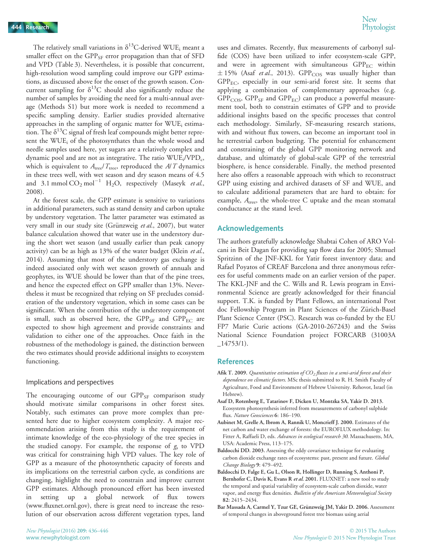The relatively small variations in  $\delta^{13}$ C-derived WUE<sub>i</sub> meant a smaller effect on the GPP<sub>SF</sub> error propagation than that of SFD and VPD (Table 3). Nevertheless, it is possible that concurrent, high-resolution wood sampling could improve our GPP estimations, as discussed above for the onset of the growth season. Concurrent sampling for  $\delta^{13}$ C should also significantly reduce the number of samples by avoiding the need for a multi-annual average (Methods S1) but more work is needed to recommend a specific sampling density. Earlier studies provided alternative approaches in the sampling of organic matter for WUE<sub>i</sub> estimation. The  $\delta^{13}$ C signal of fresh leaf compounds might better represent the WUEi of the photosynthates than the whole wood and needle samples used here, yet sugars are a relatively complex and dynamic pool and are not as integrative. The ratio  $WUE_i/VPD_c$ , which is equivalent to  $A_{\text{tree}}/T_{\text{tree}}$ , reproduced the  $A/T$  dynamics in these trees well, with wet season and dry season means of 4.5 and 3.1 mmol  $CO_2$  mol<sup>-1</sup> H<sub>2</sub>O, respectively (Maseyk et al., 2008).

At the forest scale, the GPP estimate is sensitive to variations in additional parameters, such as stand density and carbon uptake by understory vegetation. The latter parameter was estimated as very small in our study site (Grünzweig et al., 2007), but water balance calculation showed that water use in the understory during the short wet season (and usually earlier than peak canopy activity) can be as high as 13% of the water budget (Klein et al., 2014). Assuming that most of the understory gas exchange is indeed associated only with wet season growth of annuals and geophytes, its WUE should be lower than that of the pine trees, and hence the expected effect on GPP smaller than 13%. Nevertheless it must be recognized that relying on SF precludes consideration of the understory vegetation, which in some cases can be significant. When the contribution of the understory component is small, such as observed here, the  $GPP_{SF}$  and  $GPP_{EC}$  are expected to show high agreement and provide constraints and validation to either one of the approaches. Once faith in the robustness of the methodology is gained, the distinction between the two estimates should provide additional insights to ecosystem functioning.

#### Implications and perspectives

The encouraging outcome of our  $GPP_{SF}$  comparison study should motivate similar comparisons in other forest sites. Notably, such estimates can prove more complex than presented here due to higher ecosystem complexity. A major recommendation arising from this study is the requirement of intimate knowledge of the eco-physiology of the tree species in the studied canopy. For example, the response of  $g_s$  to VPD was critical for constraining high VPD values. The key role of GPP as a measure of the photosynthetic capacity of forests and its implications on the terrestrial carbon cycle, as conditions are changing, highlight the need to constrain and improve current GPP estimates. Although pronounced effort has been invested setting up a global network of flux towers [\(www.fluxnet.ornl.gov](http://www.fluxnet.ornl.gov)), there is great need to increase the resolution of our observation across different vegetation types, land

uses and climates. Recently, flux measurements of carbonyl sulfide (COS) have been utilized to infer ecosystem-scale GPP, and were in agreement with simultaneous  $GPP_{EC}$  within  $\pm$  15% (Asaf *et al.*, 2013). GPP<sub>COS</sub> was usually higher than GPPEC, especially in our semi-arid forest site. It seems that applying a combination of complementary approaches (e.g.  $GPP_{COS}$ ,  $GPP_{SF}$  and  $GPP_{EC}$ ) can produce a powerful measurement tool, both to constrain estimates of GPP and to provide additional insights based on the specific processes that control each methodology. Similarly, SF-measuring research stations, with and without flux towers, can become an important tool in he terrestrial carbon budgeting. The potential for enhancement and constraining of the global GPP monitoring network and database, and ultimately of global-scale GPP of the terrestrial biosphere, is hence considerable. Finally, the method presented here also offers a reasonable approach with which to reconstruct GPP using existing and archived datasets of SF and WUE, and to calculate additional parameters that are hard to obtain: for example,  $A_{\text{tree}}$ , the whole-tree C uptake and the mean stomatal conductance at the stand level.

## Acknowledgements

The authors gratefully acknowledge Shabtai Cohen of ARO Volcani in Beit Dagan for providing sap flow data for 2005; Shmuel Spritzinn of the JNF-KKL for Yatir forest inventory data; and Rafael Poyatos of CREAF Barcelona and three anonymous referees for useful comments made on an earlier version of the paper. The KKL-JNF and the C. Wills and R. Lewis program in Environmental Science are greatly acknowledged for their financial support. T.K. is funded by Plant Fellows, an international Post doc Fellowship Program in Plant Sciences of the Zürich-Basel Plant Science Center (PSC). Research was co-funded by the EU FP7 Marie Curie actions (GA-2010-267243) and the Swiss National Science Foundation project FORCARB (31003A  $-14753/1$ .

#### References

- Afik T. 2009. Quantitative estimation of  $CO<sub>2</sub>$  fluxes in a semi-arid forest and their dependence on climatic factors. MSc thesis submitted to R. H. Smith Faculty of Agriculture, Food and Environment of Hebrew University. Rehovot, Israel (in Hebrew).
- Asaf D, Rotenberg E, Tatarinov F, Dicken U, Montzka SA, Yakir D. 2013. Ecosystem photosynthesis inferred from measurements of carbonyl sulphide flux. Nature Geosciences 6: 186-190.
- Aubinet M, Grelle A, Ibrom A, Rannik U, Moncrieff J. 2000. Estimates of the net carbon and water exchange of forests: the EUROFLUX methodology. In: Fitter A, Raffaeli D, eds. Advances in ecological research 30. Massachusetts, MA, USA: Academic Press, 113–175.
- Baldocchi DD. 2003. Assessing the eddy covariance technique for evaluating carbon dioxide exchange rates of ecosystems: past, present and future. Global Change Biology 9: 479–492.
- Baldocchi D, Falge E, Gu L, Olson R, Hollinger D, Running S, Anthoni P, Bernhofer C, Davis K, Evans R et al. 2001. FLUXNET: a new tool to study the temporal and spatial variability of ecosystem-scale carbon dioxide, water vapor, and energy flux densities. Bulletin of the American Meteorological Society 82: 2415–2434.
- Bar Massada A, Carmel Y, Tzur GE, Grünzweig JM, Yakir D. 2006. Assessment of temporal changes in aboveground forest tree biomass using aerial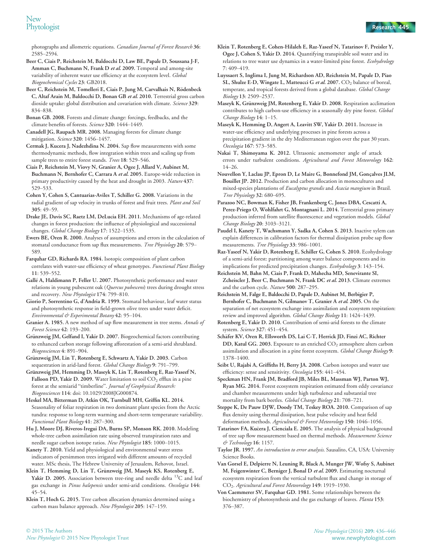photographs and allometric equations. Canadian Journal of Forest Research 36: 2585–2594.

- Beer C, Ciais P, Reichstein M, Baldocchi D, Law BE, Papale D, Soussana J-F, Amman C, Buchmann N, Frank D et al. 2009. Temporal and among-site variability of inherent water use efficiency at the ecosystem level. Global Biogeochemical Cycles 23: GB2018.
- Beer C, Reichstein M, Tomelleri E, Ciais P, Jung M, Carvalhais N, Rödenbeck C, Altaf Arain M, Baldocchi D, Bonan GB et al. 2010. Terrestrial gross carbon dioxide uptake: global distribution and covariation with climate. Science 329: 834–838.
- Bonan GB. 2008. Forests and climate change: forcings, feedbacks, and the climate benefits of forests. Science 320: 1444-1449.
- Canadell JG, Raupach MR. 2008. Managing forests for climate change mitigation. Science 320: 1456–1457.
- Cermak J, Kucera J, Nadezhdina N. 2004. Sap flow measurements with some thermodynamic methods, flow integration within trees and scaling up from sample trees to entire forest stands. Trees 18: 529-546.
- Ciais P, Reichstein M, Viovy N, Granier A, Ogee J, Allard V, Aubinet M, Buchmann N, Bernhofer C, Carrara A et al. 2005. Europe-wide reduction in primary productivity caused by the heat and drought in 2003. Nature 437: 529–533.
- Cohen Y, Cohen S, Cantuarias-Aviles T, Schiller G. 2008. Variations in the radial gradient of sap velocity in trunks of forest and fruit trees. Plant and Soil 305: 49–59.
- Drake JE, Davis SC, Raetz LM, DeLucia EH. 2011. Mechanisms of age-related changes in forest production: the influence of physiological and successional changes. Global Change Biology 17: 1522–1535.
- Ewers BE, Oren R. 2000. Analyses of assumptions and errors in the calculation of stomatal conductance from sap flux measurements. Tree Physiology 20: 579-589.
- Farquhar GD, Richards RA. 1984. Isotopic composition of plant carbon correlates with water-use efficiency of wheat genotypes. Functional Plant Biology 11: 539–552.
- Gallé A, Haldimann P, Feller U. 2007. Photosynthetic performance and water relations in young pubescent oak (Quercus pubescens) trees during drought stress and recovery. New Phytologist 174: 799–810.
- Giorio P, Sorrentino G, d'Andria R. 1999. Stomatal behaviour, leaf water status and photosynthetic response in field-grown olive trees under water deficit. Environmental & Experimental Botany 42: 95–104.
- Granier A. 1985. A new method of sap flow measurement in tree stems. Annals of Forest Science 42: 193–200.
- Grünzweig JM, Gelfand I, Yakir D. 2007. Biogeochemical factors contributing to enhanced carbon storage following afforestation of a semi-arid shrubland. Biogeosciences 4: 891–904.
- Grünzweig JM, Lin T, Rotenberg E, Schwartz A, Yakir D. 2003. Carbon sequestration in arid-land forest. Global Change Biology 9: 791-799.
- Grünzweig JM, Hemming D, Maseyk K, Lin T, Rotenberg E, Raz-Yaseef N, Falloon PD, Yakir D. 2009. Water limitation to soil  $CO<sub>2</sub>$  efflux in a pine forest at the semiarid "timberline". Journal of Geophysical Research: Biogeosciences 114: doi: [10.1029/2008JG000874](http://dx.doi.org/10.1029/2008JG000874).
- Heskel MA, Bitterman D, Atkin OK, Turnbull MH, Griffin KL. 2014. Seasonality of foliar respiration in two dominant plant species from the Arctic tundra: response to long-term warming and short-term temperature variability. Functional Plant Biology 41: 287–300.
- Hu J, Moore DJ, Riveros-Iregui DA, Burns SP, Monson RK. 2010. Modeling whole-tree carbon assimilation rate using observed transpiration rates and needle sugar carbon isotope ratios. New Phytologist 185: 1000–1015.
- Kanety T. 2010. Yield and physiological and environmental water stress indicators of persimmon trees irrigated with different amounts of recycled water. MSc thesis, The Hebrew University of Jerusalem, Rehovot, Israel.
- Klein T, Hemming D, Lin T, Grünzweig JM, Maseyk KS, Rotenberg E, Yakir D. 2005. Association between tree-ring and needle delta  $^{13}$ C and leaf gas exchange in Pinus halepensis under semi-arid conditions. Oecologia 144: 45–54.
- Klein T, Hoch G. 2015. Tree carbon allocation dynamics determined using a carbon mass balance approach. New Phytologist 205: 147-159.
- Klein T, Rotenberg E, Cohen-Hilaleh E, Raz-Yaseef N, Tatarinov F, Preisler Y, Ogee J, Cohen S, Yakir D. 2014. Quantifying transpirable soil water and its relations to tree water use dynamics in a water-limited pine forest. Ecohydrology 7: 409–419.
- Luyssaert S, Inglima I, Jung M, Richardson AD, Reichstein M, Papale D, Piao SL, Shulze E-D, Wingate L, Matteucci G et al. 2007.  $CO<sub>2</sub>$  balance of boreal, temperate, and tropical forests derived from a global database. Global Change Biology 13: 2509–2537.
- Maseyk K, Grünzweig JM, Rotenberg E, Yakir D. 2008. Respiration acclimation contributes to high carbon-use efficiency in a seasonally dry pine forest. Global Change Biology 14: 1–15.
- Maseyk K, Hemming D, Angert A, Leavitt SW, Yakir D. 2011. Increase in water-use efficiency and underlying processes in pine forests across a precipitation gradient in the dry Mediterranean region over the past 30 years. Oecologia 167: 573–585.
- Nakai T, Shimoyama K. 2012. Ultrasonic anemometer angle of attack errors under turbulent conditions. Agricultural and Forest Meteorology 162: 14–26.
- Nouvellon Y, Laclau JP, Epron D, Le Maire G, Bonnefond JM, Goncalves JLM, Bouillet JP. 2012. Production and carbon allocation in monocultures and mixed-species plantations of Eucalyptus grandis and Acacia mangium in Brazil. Tree Physiology 32: 680–695.
- Parazoo NC, Bowman K, Fisher JB, Frankenberg C, Jones DBA, Cescatti A, Perez-Priego O, Wohlfahrt G, Montagnani L. 2014. Terrestrial gross primary production inferred from satellite fluorescence and vegetation models. Global Change Biology 20: 3103–3121.
- Paudel I, Kanety T, Wachsmann Y, Sadka A, Cohen S. 2013. Inactive xylem can explain differences in calibration factors for thermal dissipation probe sap flow measurements. Tree Physiology 33: 986-1001.
- Raz-Yaseef N, Yakir D, Rotenberg E, Schiller G, Cohen S. 2010. Ecohydrology of a semi-arid forest: partitioning among water balance components and its implications for predicted precipitation changes. Ecohydrology 3: 143–154.
- Reichstein M, Bahn M, Ciais P, Frank D, Mahecha MD, Senevirante SI, Zcheiscler J, Beer C, Buchmann N, Frank DC et al. 2013. Climate extremes and the carbon cycle. Nature 500: 287–295.
- Reichstein M, Falge E, Baldocchi D, Papale D, Aubinet M, Berbigier P, Bernhofer C, Buchmann N, Gilmanov T, Granier A et al. 2005. On the separation of net ecosystem exchange into assimilation and ecosystem respiration: review and improved algorithm. Global Change Biology 11: 1424–1439.
- Rotenberg E, Yakir D. 2010. Contribution of semi-arid forests to the climate system. Science 327: 451–454.
- Schäfer KV, Oren R, Ellsworth DS, Lai C-T, Herrick JD, Finzi AC, Richter DD, Katul GG. 2003. Exposure to an enriched CO<sub>2</sub> atmosphere alters carbon assimilation and allocation in a pine forest ecosystem. Global Change Biology 9: 1378–1400.
- Seibt U, Rajabi A, Griffiths H, Berry JA. 2008. Carbon isotopes and water use efficiency: sense and sensitivity. Oecologia 155: 441–454.
- Speckman HN, Frank JM, Bradford JB, Miles BL, Massman WJ, Parton WJ, Ryan MG. 2014. Forest ecosystem respiration estimated from eddy covariance and chamber measurements under high turbulence and substantial tree mortality from bark beetles. Global Change Biology 21: 708–721.
- Steppe K, De Pauw DJW, Doody TM, Teskey ROA. 2010. Comparison of sap flux density using thermal dissipation, heat pulse velocity and heat field deformation methods. Agricultural & Forest Meteorology 150: 1046-1056.
- Tatarinov FA, Kučera J, Cienciala E. 2005. The analysis of physical background of tree sap flow measurement based on thermal methods. Measurement Science & Technology 16: 1157.
- Taylor JR. 1997. An introduction to error analysis. Sausalito, CA, USA: University Science Books.
- Van Gorsel E, Delpierre N, Leuning R, Black A, Munger JW, Wofsy S, Aubinet M, Feigenwinter C, Berniger J, Bonal D et al. 2009. Estimating nocturnal ecosystem respiration from the vertical turbulent flux and change in storage of CO2. Agricultural and Forest Meteorology 149: 1919–1930.
- Von Caemmerer SV, Farquhar GD. 1981. Some relationships between the biochemistry of photosynthesis and the gas exchange of leaves. Planta 153: 376–387.